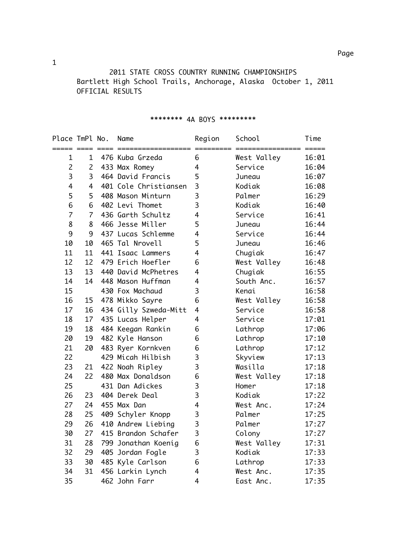2011 STATE CROSS COUNTRY RUNNING CHAMPIONSHIPS Bartlett High School Trails, Anchorage, Alaska October 1, 2011 OFFICIAL RESULTS

| Place TmPl No.<br>===== ==== |                | Name<br>$=$ === $=$ ===== | Region<br>==== | School<br>================ | Time<br>$=$ $=$ $=$ $=$ $=$ |
|------------------------------|----------------|---------------------------|----------------|----------------------------|-----------------------------|
| $\mathbf 1$                  | $\mathbf 1$    | 476 Kuba Grzeda           | 6              | West Valley                | 16:01                       |
| $\overline{c}$               | $\overline{2}$ | 433 Max Romey             | $\overline{4}$ | Service                    | 16:04                       |
| 3                            | 3              | 464 David Francis         | 5              | Juneau                     | 16:07                       |
| 4                            | 4              | 401 Cole Christiansen     | 3              | Kodiak                     | 16:08                       |
| 5                            | 5              | 408 Mason Minturn         | 3              | Palmer                     | 16:29                       |
| 6                            | 6              | 402 Levi Thomet           | 3              | Kodiak                     | 16:40                       |
| $\overline{7}$               | $\overline{7}$ | 436 Garth Schultz         | 4              | Service                    | 16:41                       |
| 8                            | 8              | 466 Jesse Miller          | 5              | Juneau                     | 16:44                       |
| 9                            | 9              | 437 Lucas Schlemme        | 4              | Service                    | 16:44                       |
| 10                           | 10             | 465 Tal Nrovell           | 5              | Juneau                     | 16:46                       |
| 11                           | 11             | 441 Isaac Lammers         | 4              | Chugiak                    | 16:47                       |
| 12                           | 12             | 479 Erich Hoefler         | 6              | West Valley                | 16:48                       |
| 13                           | 13             | 440 David McPhetres       | 4              | Chugiak                    | 16:55                       |
| 14                           | 14             | 448 Mason Huffman         | 4              | South Anc.                 | 16:57                       |
| 15                           |                | 430 Fox Machaud           | 3              | Kenai                      | 16:58                       |
| 16                           | 15             | 478 Mikko Sayre           | 6              | West Valley                | 16:58                       |
| 17                           | 16             | 434 Gilly Szweda-Mitt     | 4              | Service                    | 16:58                       |
| 18                           | 17             | 435 Lucas Helper          | 4              | Service                    | 17:01                       |
| 19                           | 18             | 484 Keegan Rankin         | 6              | Lathrop                    | 17:06                       |
| 20                           | 19             | 482 Kyle Hanson           | 6              | Lathrop                    | 17:10                       |
| 21                           | 20             | 483 Ryer Kornkven         | 6              | Lathrop                    | 17:12                       |
| 22                           |                | 429 Micah Hilbish         | 3              | Skyview                    | 17:13                       |
| 23                           | 21             | 422 Noah Ripley           | 3              | Wasilla                    | 17:18                       |
| 24                           | 22             | 480 Max Donaldson         | 6              | West Valley                | 17:18                       |
| 25                           |                | 431 Dan Adickes           | 3              | Homer                      | 17:18                       |
| 26                           | 23             | 404 Derek Deal            | 3              | Kodiak                     | 17:22                       |
| 27                           | 24             | 455 Max Dan               | 4              | West Anc.                  | 17:24                       |
| 28                           | 25             | 409 Schyler Knopp         | 3              | Palmer                     | 17:25                       |
| 29                           | 26             | 410 Andrew Liebing        | 3              | Palmer                     | 17:27                       |
| 30                           | 27             | 415 Brandon Schafer       | 3              | Colony                     | 17:27                       |
| 31                           | 28             | 799 Jonathan Koenig       | 6              | West Valley                | 17:31                       |
| 32                           | 29             | 405 Jordan Fogle          | 3              | Kodiak                     | 17:33                       |
| 33                           | 30             | 485 Kyle Carlson          | 6              | Lathrop                    | 17:33                       |
| 34                           | 31             | 456 Larkin Lynch          | 4              | West Anc.                  | 17:35                       |
| 35                           |                | 462 John Farr             | 4              | East Anc.                  | 17:35                       |

## \*\*\*\*\*\*\*\* 4A BOYS \*\*\*\*\*\*\*\*\*

1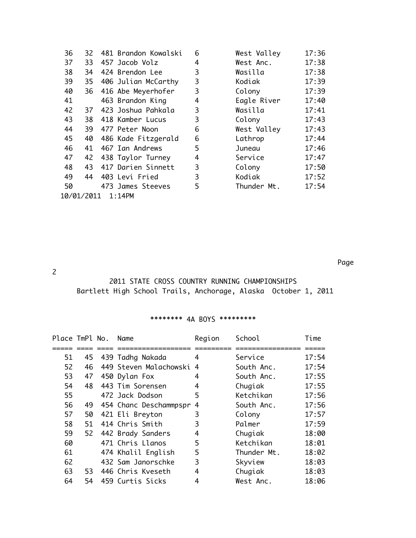| 36                      | 32 | 481 Brandon Kowalski | 6 | West Valley | 17:36 |
|-------------------------|----|----------------------|---|-------------|-------|
| 37                      | 33 | 457 Jacob Volz       | 4 | West Anc.   | 17:38 |
| 38                      | 34 | 424 Brendon Lee      | 3 | Wasilla     | 17:38 |
| 39                      | 35 | 406 Julian McCarthy  | 3 | Kodiak      | 17:39 |
| 40                      | 36 | 416 Abe Meyerhofer   | 3 | Colony      | 17:39 |
| 41                      |    | 463 Brandon King     | 4 | Eagle River | 17:40 |
| 42                      | 37 | 423 Joshua Pahkala   | 3 | Wasilla     | 17:41 |
| 43                      | 38 | 418 Kamber Lucus     | 3 | Colony      | 17:43 |
| 44                      | 39 | 477 Peter Noon       | 6 | West Valley | 17:43 |
| 45                      | 40 | 486 Kade Fitzgerald  | 6 | Lathrop     | 17:44 |
| 46                      | 41 | 467 Ian Andrews      | 5 | Juneau      | 17:46 |
| 47                      | 42 | 438 Taylor Turney    | 4 | Service     | 17:47 |
| 48                      | 43 | 417 Darien Sinnett   | 3 | Colony      | 17:50 |
| 49                      | 44 | 403 Levi Fried       | 3 | Kodiak      | 17:52 |
| 50                      |    | 473 James Steeves    | 5 | Thunder Mt. | 17:54 |
| 10/01/2011<br>$1:14$ PM |    |                      |   |             |       |

Page

2

## 2011 STATE CROSS COUNTRY RUNNING CHAMPIONSHIPS Bartlett High School Trails, Anchorage, Alaska October 1, 2011

## \*\*\*\*\*\*\*\* 4A BOYS \*\*\*\*\*\*\*\*\*

| Place TmPl No. |     | Name                   | Region | School      | Time  |
|----------------|-----|------------------------|--------|-------------|-------|
|                |     |                        |        |             |       |
| 51             | 45  | 439 Tadhg Nakada       | 4      | Service     | 17:54 |
| 52             | 46  | 449 Steven Malachowski | 4      | South Anc.  | 17:54 |
| 53             | 47  | 450 Dylan Fox          | 4      | South Anc.  | 17:55 |
| 54             | 48  | 443 Tim Sorensen       | 4      | Chugiak     | 17:55 |
| 55             |     | 472 Jack Dodson        | 5      | Ketchikan   | 17:56 |
| 56             | 49  | 454 Chanc Deschammpspr | 4      | South Anc.  | 17:56 |
| 57             | 50  | 421 Eli Breyton        | 3      | Colony      | 17:57 |
| 58             | 51  | 414 Chris Smith        | 3      | Palmer      | 17:59 |
| 59             | 52  | 442 Brady Sanders      | 4      | Chugiak     | 18:00 |
| 60             |     | 471 Chris Llanos       | 5      | Ketchikan   | 18:01 |
| 61             |     | 474 Khalil English     | 5      | Thunder Mt. | 18:02 |
| 62             |     | 432 Sam Janorschke     | 3      | Skyview     | 18:03 |
| 63             | 53. | 446 Chris Kveseth      | 4      | Chugiak     | 18:03 |
| 64             | 54  | 459 Curtis Sicks       | 4      | West Anc.   | 18:06 |